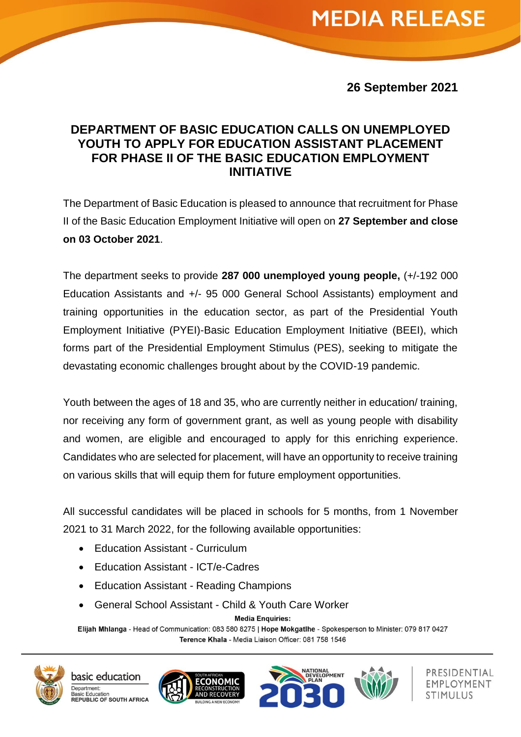### **26 September 2021**

## **DEPARTMENT OF BASIC EDUCATION CALLS ON UNEMPLOYED YOUTH TO APPLY FOR EDUCATION ASSISTANT PLACEMENT FOR PHASE II OF THE BASIC EDUCATION EMPLOYMENT INITIATIVE**

The Department of Basic Education is pleased to announce that recruitment for Phase II of the Basic Education Employment Initiative will open on **27 September and close on 03 October 2021**.

The department seeks to provide **287 000 unemployed young people,** (+/-192 000 Education Assistants and +/- 95 000 General School Assistants) employment and training opportunities in the education sector, as part of the Presidential Youth Employment Initiative (PYEI)-Basic Education Employment Initiative (BEEI), which forms part of the Presidential Employment Stimulus (PES), seeking to mitigate the devastating economic challenges brought about by the COVID-19 pandemic.

Youth between the ages of 18 and 35, who are currently neither in education/ training, nor receiving any form of government grant, as well as young people with disability and women, are eligible and encouraged to apply for this enriching experience. Candidates who are selected for placement, will have an opportunity to receive training on various skills that will equip them for future employment opportunities.

All successful candidates will be placed in schools for 5 months, from 1 November 2021 to 31 March 2022, for the following available opportunities:

- Education Assistant Curriculum
- Education Assistant ICT/e-Cadres
- Education Assistant Reading Champions
- General School Assistant Child & Youth Care Worker

**Media Enquiries:** 

Elijah Mhlanga - Head of Communication: 083 580 8275 | Hope Mokgatlhe - Spokesperson to Minister: 079 817 0427 Terence Khala - Media Liaison Officer: 081 758 1546









PRESIDENTIAL EMPLOYMENT STIMULUS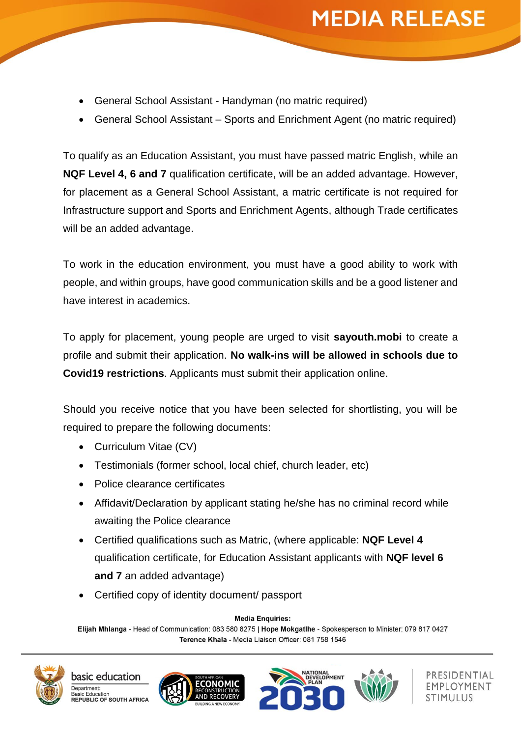- General School Assistant Handyman (no matric required)
- General School Assistant Sports and Enrichment Agent (no matric required)

To qualify as an Education Assistant, you must have passed matric English, while an **NQF Level 4, 6 and 7** qualification certificate, will be an added advantage. However, for placement as a General School Assistant, a matric certificate is not required for Infrastructure support and Sports and Enrichment Agents, although Trade certificates will be an added advantage.

To work in the education environment, you must have a good ability to work with people, and within groups, have good communication skills and be a good listener and have interest in academics.

To apply for placement, young people are urged to visit **sayouth.mobi** to create a profile and submit their application. **No walk-ins will be allowed in schools due to Covid19 restrictions**. Applicants must submit their application online.

Should you receive notice that you have been selected for shortlisting, you will be required to prepare the following documents:

- Curriculum Vitae (CV)
- Testimonials (former school, local chief, church leader, etc)
- Police clearance certificates
- Affidavit/Declaration by applicant stating he/she has no criminal record while awaiting the Police clearance
- Certified qualifications such as Matric, (where applicable: **NQF Level 4** qualification certificate, for Education Assistant applicants with **NQF level 6 and 7** an added advantage)
- Certified copy of identity document/ passport

**Media Enquiries:** 

Elijah Mhlanga - Head of Communication: 083 580 8275 | Hope Mokgatlhe - Spokesperson to Minister: 079 817 0427 Terence Khala - Media Liaison Officer: 081 758 1546









PRESIDENTIAL EMPLOYMENT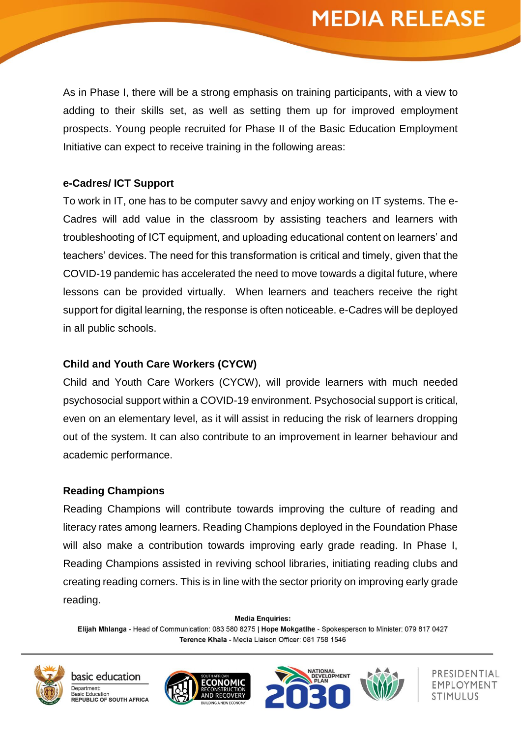As in Phase I, there will be a strong emphasis on training participants, with a view to adding to their skills set, as well as setting them up for improved employment prospects. Young people recruited for Phase II of the Basic Education Employment Initiative can expect to receive training in the following areas:

#### **e-Cadres/ ICT Support**

To work in IT, one has to be computer savvy and enjoy working on IT systems. The e-Cadres will add value in the classroom by assisting teachers and learners with troubleshooting of ICT equipment, and uploading educational content on learners' and teachers' devices. The need for this transformation is critical and timely, given that the COVID-19 pandemic has accelerated the need to move towards a digital future, where lessons can be provided virtually. When learners and teachers receive the right support for digital learning, the response is often noticeable. e-Cadres will be deployed in all public schools.

#### **Child and Youth Care Workers (CYCW)**

Child and Youth Care Workers (CYCW), will provide learners with much needed psychosocial support within a COVID-19 environment. Psychosocial support is critical, even on an elementary level, as it will assist in reducing the risk of learners dropping out of the system. It can also contribute to an improvement in learner behaviour and academic performance.

#### **Reading Champions**

Reading Champions will contribute towards improving the culture of reading and literacy rates among learners. Reading Champions deployed in the Foundation Phase will also make a contribution towards improving early grade reading. In Phase I, Reading Champions assisted in reviving school libraries, initiating reading clubs and creating reading corners. This is in line with the sector priority on improving early grade reading.

**Media Enquiries:** Elijah Mhlanga - Head of Communication: 083 580 8275 | Hope Mokgatlhe - Spokesperson to Minister: 079 817 0427 Terence Khala - Media Liaison Officer: 081 758 1546



basic education Department: **Basic Education REPUBLIC OF SOUTH AFRICA** 







PRESIDENTIAL EMPLOYMENT STIMULUS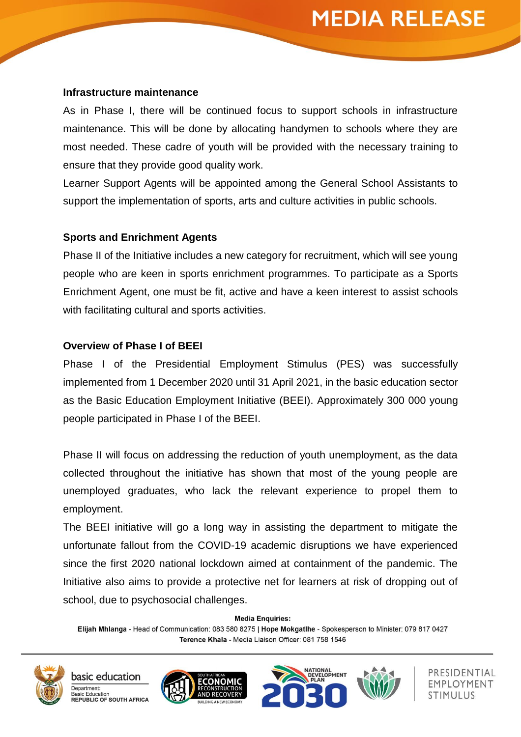#### **Infrastructure maintenance**

As in Phase I, there will be continued focus to support schools in infrastructure maintenance. This will be done by allocating handymen to schools where they are most needed. These cadre of youth will be provided with the necessary training to ensure that they provide good quality work.

Learner Support Agents will be appointed among the General School Assistants to support the implementation of sports, arts and culture activities in public schools.

#### **Sports and Enrichment Agents**

Phase II of the Initiative includes a new category for recruitment, which will see young people who are keen in sports enrichment programmes. To participate as a Sports Enrichment Agent, one must be fit, active and have a keen interest to assist schools with facilitating cultural and sports activities.

#### **Overview of Phase I of BEEI**

Phase I of the Presidential Employment Stimulus (PES) was successfully implemented from 1 December 2020 until 31 April 2021, in the basic education sector as the Basic Education Employment Initiative (BEEI). Approximately 300 000 young people participated in Phase I of the BEEI.

Phase II will focus on addressing the reduction of youth unemployment, as the data collected throughout the initiative has shown that most of the young people are unemployed graduates, who lack the relevant experience to propel them to employment.

The BEEI initiative will go a long way in assisting the department to mitigate the unfortunate fallout from the COVID-19 academic disruptions we have experienced since the first 2020 national lockdown aimed at containment of the pandemic. The Initiative also aims to provide a protective net for learners at risk of dropping out of school, due to psychosocial challenges.

**Media Enquiries:** 

Elijah Mhlanga - Head of Communication: 083 580 8275 | Hope Mokgatlhe - Spokesperson to Minister: 079 817 0427 Terence Khala - Media Liaison Officer: 081 758 1546









PRESIDENTIAL EMPLOYMENT